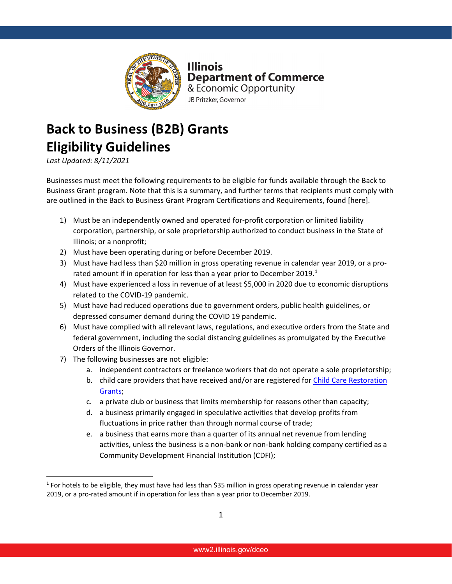

**Illinois Department of Commerce** & Economic Opportunity JB Pritzker, Governor

## **Back to Business (B2B) Grants Eligibility Guidelines**

*Last Updated: 8/11/2021*

Businesses must meet the following requirements to be eligible for funds available through the Back to Business Grant program. Note that this is a summary, and further terms that recipients must comply with are outlined in the Back to Business Grant Program Certifications and Requirements, found [here].

- 1) Must be an independently owned and operated for-profit corporation or limited liability corporation, partnership, or sole proprietorship authorized to conduct business in the State of Illinois; or a nonprofit;
- 2) Must have been operating during or before December 2019.
- 3) Must have had less than \$20 million in gross operating revenue in calendar year 2019, or a pro-rated amount if in operation for less than a year prior to December 20[1](#page-0-0)9.<sup>1</sup>
- 4) Must have experienced a loss in revenue of at least \$5,000 in 2020 due to economic disruptions related to the COVID-19 pandemic.
- 5) Must have had reduced operations due to government orders, public health guidelines, or depressed consumer demand during the COVID 19 pandemic.
- 6) Must have complied with all relevant laws, regulations, and executive orders from the State and federal government, including the social distancing guidelines as promulgated by the Executive Orders of the Illinois Governor.
- 7) The following businesses are not eligible:
	- a. independent contractors or freelance workers that do not operate a sole proprietorship;
	- b. child care providers that have received and/or are registered fo[r Child Care Restoration](https://www.ilgateways.com/financial-opportunities/restoration-grants) [Grants;](https://www.ilgateways.com/financial-opportunities/restoration-grants)
	- c. a private club or business that limits membership for reasons other than capacity;
	- d. a business primarily engaged in speculative activities that develop profits from fluctuations in price rather than through normal course of trade;
	- e. a business that earns more than a quarter of its annual net revenue from lending activities, unless the business is a non-bank or non-bank holding company certified as a Community Development Financial Institution (CDFI);

<span id="page-0-0"></span><sup>1</sup> For hotels to be eligible, they must have had less than \$35 million in gross operating revenue in calendar year 2019, or a pro-rated amount if in operation for less than a year prior to December 2019.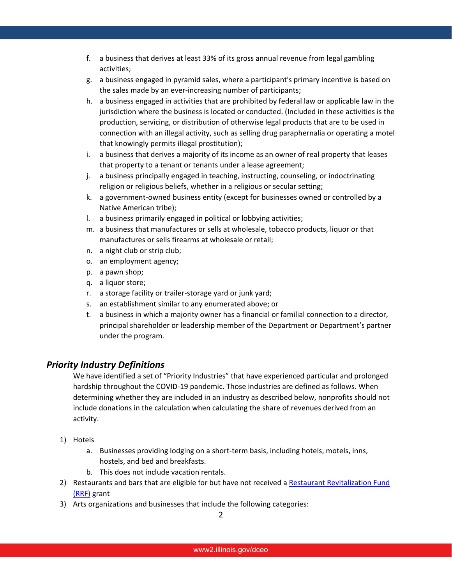- f. a business that derives at least 33% of its gross annual revenue from legal gambling activities;
- g. a business engaged in pyramid sales, where a participant's primary incentive is based on the sales made by an ever-increasing number of participants;
- h. a business engaged in activities that are prohibited by federal law or applicable law in the jurisdiction where the business is located or conducted. (Included in these activities is the production, servicing, or distribution of otherwise legal products that are to be used in connection with an illegal activity, such as selling drug paraphernalia or operating a motel that knowingly permits illegal prostitution);
- i. a business that derives a majority of its income as an owner of real property that leases that property to a tenant or tenants under a lease agreement;
- j. a business principally engaged in teaching, instructing, counseling, or indoctrinating religion or religious beliefs, whether in a religious or secular setting;
- k. a government-owned business entity (except for businesses owned or controlled by a Native American tribe);
- l. a business primarily engaged in political or lobbying activities;
- m. a business that manufactures or sells at wholesale, tobacco products, liquor or that manufactures or sells firearms at wholesale or retail;
- n. a night club or strip club;
- o. an employment agency;
- p. a pawn shop;
- q. a liquor store;
- r. a storage facility or trailer-storage yard or junk yard;
- s. an establishment similar to any enumerated above; or
- t. a business in which a majority owner has a financial or familial connection to a director, principal shareholder or leadership member of the Department or Department's partner under the program.

## *Priority Industry Definitions*

We have identified a set of "Priority Industries" that have experienced particular and prolonged hardship throughout the COVID-19 pandemic. Those industries are defined as follows. When determining whether they are included in an industry as described below, nonprofits should not include donations in the calculation when calculating the share of revenues derived from an activity.

- 1) Hotels
	- a. Businesses providing lodging on a short-term basis, including hotels, motels, inns, hostels, and bed and breakfasts.
	- b. This does not include vacation rentals.
- 2) Restaurants and bars that are eligible for but have not received [a Restaurant Revitalization Fund](https://www.sba.gov/funding-programs/loans/covid-19-relief-options/restaurant-revitalization-fund#section-header-7) [\(RRF\)](https://www.sba.gov/funding-programs/loans/covid-19-relief-options/restaurant-revitalization-fund#section-header-7) grant
- 3) Arts organizations and businesses that include the following categories: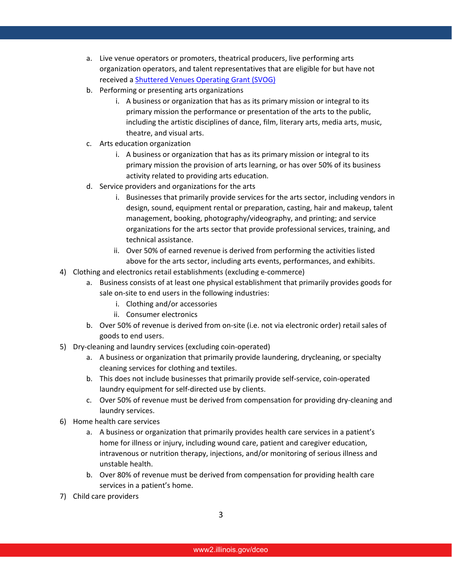- a. Live venue operators or promoters, theatrical producers, live performing arts organization operators, and talent representatives that are eligible for but have not received a [Shuttered Venues Operating Grant \(SVOG\)](https://www.sba.gov/funding-programs/loans/covid-19-relief-options/shuttered-venue-operators-grant#section-header-5)
- b. Performing or presenting arts organizations
	- i. A business or organization that has as its primary mission or integral to its primary mission the performance or presentation of the arts to the public, including the artistic disciplines of dance, film, literary arts, media arts, music, theatre, and visual arts.
- c. Arts education organization
	- i. A business or organization that has as its primary mission or integral to its primary mission the provision of arts learning, or has over 50% of its business activity related to providing arts education.
- d. Service providers and organizations for the arts
	- i. Businesses that primarily provide services for the arts sector, including vendors in design, sound, equipment rental or preparation, casting, hair and makeup, talent management, booking, photography/videography, and printing; and service organizations for the arts sector that provide professional services, training, and technical assistance.
	- ii. Over 50% of earned revenue is derived from performing the activities listed above for the arts sector, including arts events, performances, and exhibits.
- 4) Clothing and electronics retail establishments (excluding e-commerce)
	- a. Business consists of at least one physical establishment that primarily provides goods for sale on-site to end users in the following industries:
		- i. Clothing and/or accessories
		- ii. Consumer electronics
	- b. Over 50% of revenue is derived from on-site (i.e. not via electronic order) retail sales of goods to end users.
- 5) Dry-cleaning and laundry services (excluding coin-operated)
	- a. A business or organization that primarily provide laundering, drycleaning, or specialty cleaning services for clothing and textiles.
	- b. This does not include businesses that primarily provide self-service, coin-operated laundry equipment for self-directed use by clients.
	- c. Over 50% of revenue must be derived from compensation for providing dry-cleaning and laundry services.
- 6) Home health care services
	- a. A business or organization that primarily provides health care services in a patient's home for illness or injury, including wound care, patient and caregiver education, intravenous or nutrition therapy, injections, and/or monitoring of serious illness and unstable health.
	- b. Over 80% of revenue must be derived from compensation for providing health care services in a patient's home.
- 7) Child care providers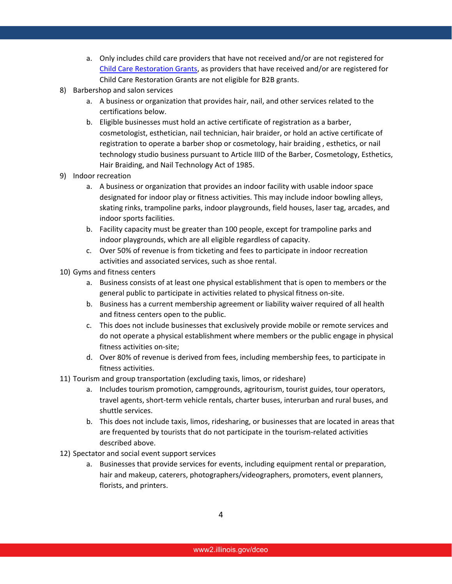- a. Only includes child care providers that have not received and/or are not registered for [Child Care Restoration Grants,](https://www.ilgateways.com/financial-opportunities/restoration-grants) as providers that have received and/or are registered for Child Care Restoration Grants are not eligible for B2B grants.
- 8) Barbershop and salon services
	- a. A business or organization that provides hair, nail, and other services related to the certifications below.
	- b. Eligible businesses must hold an active certificate of registration as a barber, cosmetologist, esthetician, nail technician, hair braider, or hold an active certificate of registration to operate a barber shop or cosmetology, hair braiding , esthetics, or nail technology studio business pursuant to Article IIID of the Barber, Cosmetology, Esthetics, Hair Braiding, and Nail Technology Act of 1985.
- 9) Indoor recreation
	- a. A business or organization that provides an indoor facility with usable indoor space designated for indoor play or fitness activities. This may include indoor bowling alleys, skating rinks, trampoline parks, indoor playgrounds, field houses, laser tag, arcades, and indoor sports facilities.
	- b. Facility capacity must be greater than 100 people, except for trampoline parks and indoor playgrounds, which are all eligible regardless of capacity.
	- c. Over 50% of revenue is from ticketing and fees to participate in indoor recreation activities and associated services, such as shoe rental.
- 10) Gyms and fitness centers
	- a. Business consists of at least one physical establishment that is open to members or the general public to participate in activities related to physical fitness on-site.
	- b. Business has a current membership agreement or liability waiver required of all health and fitness centers open to the public.
	- c. This does not include businesses that exclusively provide mobile or remote services and do not operate a physical establishment where members or the public engage in physical fitness activities on-site;
	- d. Over 80% of revenue is derived from fees, including membership fees, to participate in fitness activities.
- 11) Tourism and group transportation (excluding taxis, limos, or rideshare)
	- a. Includes tourism promotion, campgrounds, agritourism, tourist guides, tour operators, travel agents, short-term vehicle rentals, charter buses, interurban and rural buses, and shuttle services.
	- b. This does not include taxis, limos, ridesharing, or businesses that are located in areas that are frequented by tourists that do not participate in the tourism-related activities described above.
- 12) Spectator and social event support services
	- a. Businesses that provide services for events, including equipment rental or preparation, hair and makeup, caterers, photographers/videographers, promoters, event planners, florists, and printers.